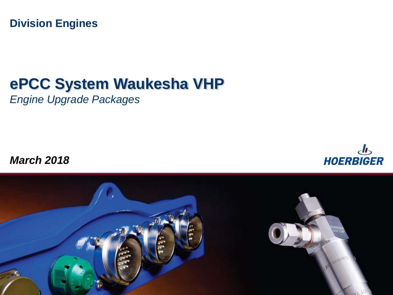**Division Engines**

# **ePCC System Waukesha VHP**

*Engine Upgrade Packages*

*March 2018* 



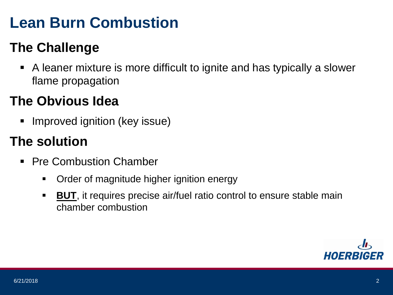# **Lean Burn Combustion**

#### **The Challenge**

 A leaner mixture is more difficult to ignite and has typically a slower flame propagation

#### **The Obvious Idea**

**Improved ignition (key issue)** 

#### **The solution**

- Pre Combustion Chamber
	- Order of magnitude higher ignition energy
	- **BUT**, it requires precise air/fuel ratio control to ensure stable main chamber combustion

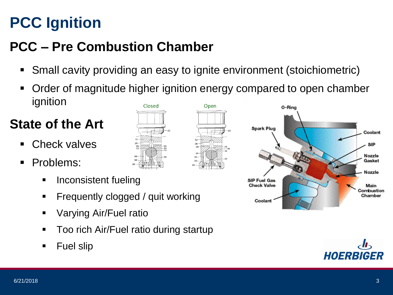# **PCC Ignition**

## **PCC – Pre Combustion Chamber**

- Small cavity providing an easy to ignite environment (stoichiometric)
- Order of magnitude higher ignition energy compared to open chamber ignition Closed Open

#### **State of the Art**

- Check valves
- **Problems:** 
	- **Inconsistent fueling**
	- **Figuently clogged / quit working**
	- **•** Varying Air/Fuel ratio
	- Too rich Air/Fuel ratio during startup
	- **Fuel slip**



Coolant



Coolant

**SIP** 

Nozzle Gasket

Nozzle

Main Combustion Chamber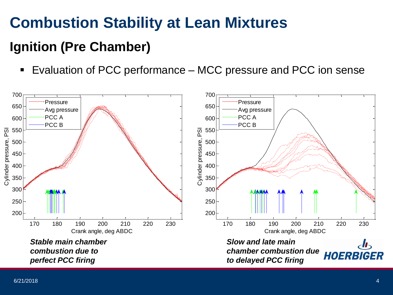# **Combustion Stability at Lean Mixtures**

#### **Ignition (Pre Chamber)**

■ Evaluation of PCC performance – MCC pressure and PCC ion sense

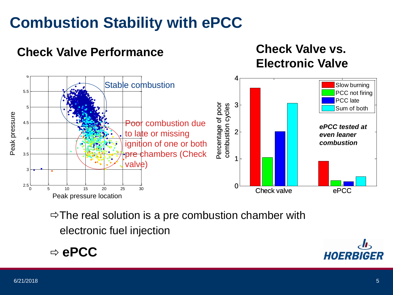# **Combustion Stability with ePCC**

#### **Electronic Valve** 6 4Stable combustion Slow burning  $\begin{array}{c} \text{common cycles} \ \text{and} \ \text{p} \end{array}$ 5.5 PCC not firing PCC late Percentage of poor 3 Percentage of poor combustion cycles combustion cycles 5 Sum of both Peak pressure Poor combustion due 4.5 *ePCC tested at*  PP  $2<sup>1</sup>$ to late or missing *even leaner*  4 *combustion* ignition of one or both pre chambers (Check 3.5 1 valve) 3  $2.5\frac{L}{0}$ 0<sup>-</sup> Check valve **by Check valve** ePCC 0 5 10 15 20 25 30 Peak pressure location

**Check Valve Performance Check Valve vs.** 

 $\Rightarrow$  The real solution is a pre combustion chamber with electronic fuel injection

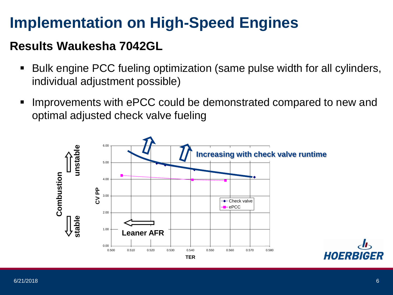# **Implementation on High-Speed Engines**

#### **Results Waukesha 7042GL**

- Bulk engine PCC fueling optimization (same pulse width for all cylinders, individual adjustment possible)
- **IMPROVEMENTS with EPCC could be demonstrated compared to new and** optimal adjusted check valve fueling

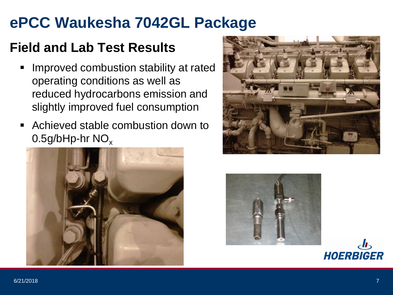# **ePCC Waukesha 7042GL Package**

#### **Field and Lab Test Results**

- Improved combustion stability at rated operating conditions as well as reduced hydrocarbons emission and slightly improved fuel consumption
- Achieved stable combustion down to  $0.5$ g/bHp-hr NO<sub>x</sub>







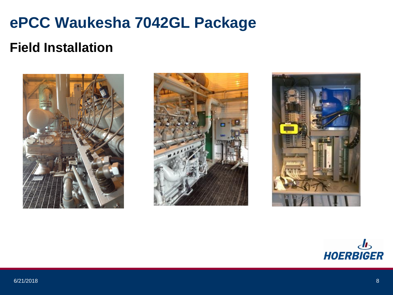# **ePCC Waukesha 7042GL Package**

#### **Field Installation**







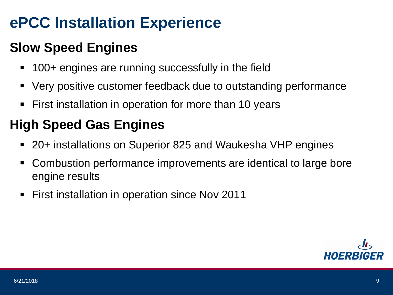# **ePCC Installation Experience**

### **Slow Speed Engines**

- 100+ engines are running successfully in the field
- Very positive customer feedback due to outstanding performance
- First installation in operation for more than 10 years

#### **High Speed Gas Engines**

- 20+ installations on Superior 825 and Waukesha VHP engines
- Combustion performance improvements are identical to large bore engine results
- First installation in operation since Nov 2011

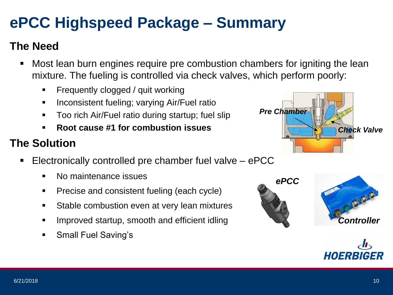# **ePCC Highspeed Package – Summary**

#### **The Need**

- Most lean burn engines require pre combustion chambers for igniting the lean mixture. The fueling is controlled via check valves, which perform poorly:
	- **Figuently clogged / quit working**
	- **If** Inconsistent fueling; varying Air/Fuel ratio
	- Too rich Air/Fuel ratio during startup; fuel slip
	- **Root cause #1 for combustion issues**

#### **The Solution**

- Electronically controlled pre chamber fuel valve ePCC
	- No maintenance issues
	- **Precise and consistent fueling (each cycle)**
	- **Stable combustion even at very lean mixtures**
	- Improved startup, smooth and efficient idling
	- **Small Fuel Saving's**